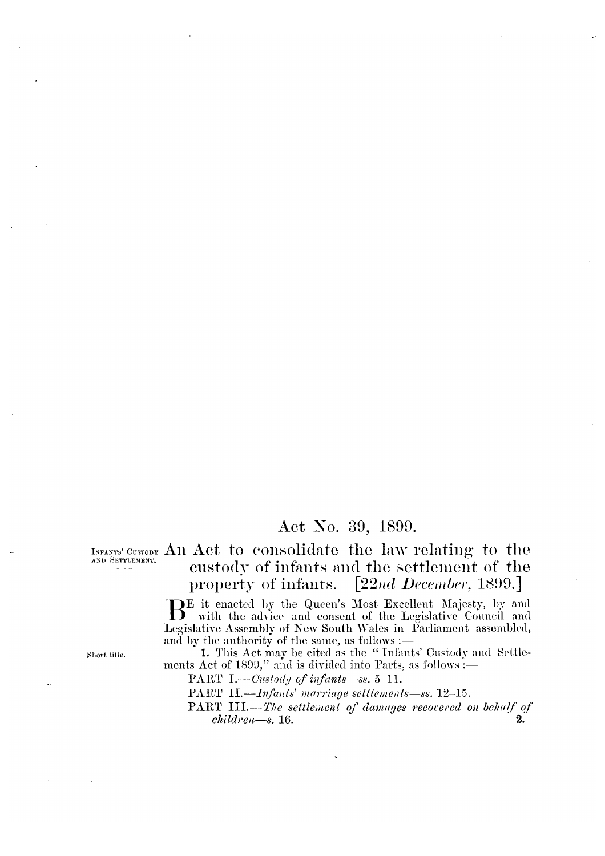# Act No. 39, 1899.

AND SETTLEMENT.

INFANTS' CUSTODY An Act to consolidate the law relating to the custody of infants and the settlement of the  $[22nd$  December, 1899.] property of infants.

> BE it enacted by the Queen's Most Excellent Majesty, by and with the advice and consent of the Legislative Council and Legislative Assembly of New South Wales in Parliament assembled, and by the authority of the same, as follows :-

> 1. This Act may be cited as the "Infants' Custody and Settlements Act of 1899," and is divided into Parts, as follows :-

PART I.—Custody of infants—ss.  $5-11$ .

PART II.-*Infants' marriage settlements-ss.* 12-15.

PART III.-The settlement of damages recovered on behalf of  $children - s. 16.$ 

Short title.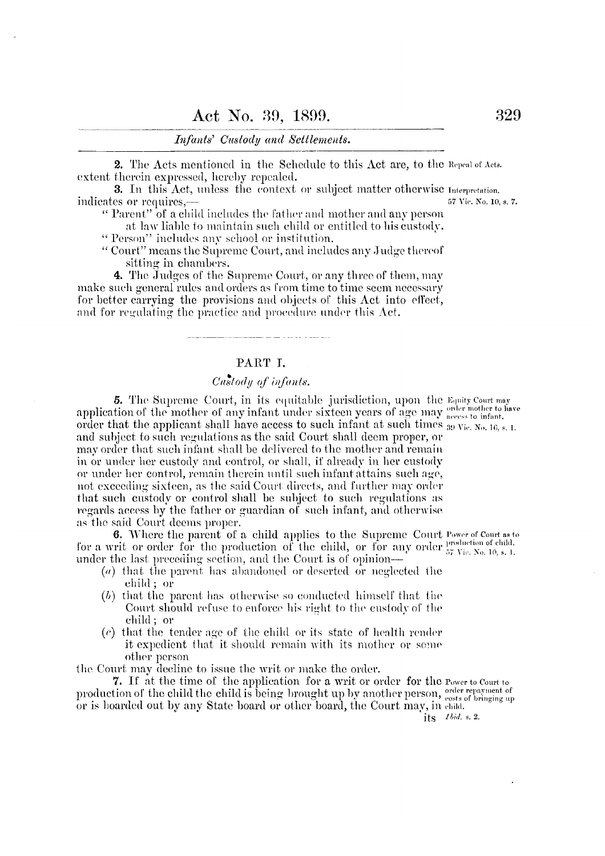#### Infants' Custody and Settlements.

2. The Acts mentioned in the Schedule to this Act are, to the Repeal of Acts. extent therein expressed, hereby repealed.

**3.** In this Act, unless the context or subject matter otherwise Interpretation. indicates or requires,—

"Parent" of a child includes the father and mother and any person

at law liable to maintain such child or entitled to his custody. "Person" includes any school or institution.

"Court" means the Supreme Court, and includes any Judge thereof sitting in chambers.

4. The Judges of the Supreme Court, or any three of them, may make such general rules and orders as from time to time seem necessary for better carrying the provisions and objects of this Act into effect, and for regulating the practice and procedure under this Act.

### PART I.

# Custody of infants.

5. The Supreme Court, in its equitable jurisdiction, upon the Equity Court may application of the mother of any infant under sixteen years of age may access to infant. order that the applicant shall have access to such infant at such times  $_{39 \text{ Vie. No. 16, s. 1}}$ . and subject to such regulations as the said Court shall deem proper, or may order that such infant shall be delivered to the mother and remain in or under her custody and control, or shall, if already in her custody or under her control, remain therein until such infant attains such age, not exceeding sixteen, as the said Court directs, and further may order that such custody or control shall be subject to such regulations as regards access by the father or guardian of such infant, and otherwise as the said Court deems proper.

6. Where the parent of a child applies to the Supreme Court Power of Court as to for a writ or order for the production of the child, or for any order  $_{57}^{100}$  Vie. No. 10, s. 1. under the last preceding section, and the Court is of opinion—

- $(a)$  that the parent has abandoned or deserted or neglected the child; or
- $(b)$  that the parent has otherwise so conducted himself that the Court should refuse to enforce his right to the custody of the child; or
- (c) that the tender age of the child or its state of health render it expedient that it should remain with its mother or some other person

the Court may decline to issue the writ or make the order.

7. If at the time of the application for a writ or order for the Power to Court to production of the child the child is being brought up by another person, esst of bringing up or is boarded out by any State board or other board, the Court may, in child.

its Ibid. s. 2.

57 Vic. No. 10, s. 7.

329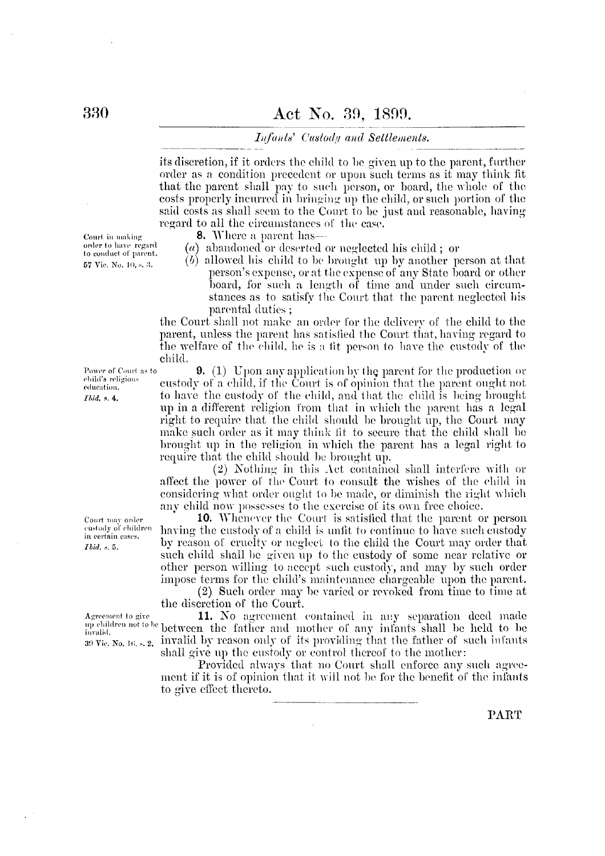#### Infants' Custody and Settlements.

its discretion, if it orders the child to be given up to the parent, further order as a condition precedent or upon such terms as it may think fit that the parent shall pay to such person, or board, the whole of the costs properly incurred in bringing up the child, or such portion of the said costs as shall seem to the Court to be just and reasonable, having regard to all the circumstances of the case.

8. Where a parent has—

- (a) abandoned or deserted or neglected his child; or
- $(b)$  allowed his child to be brought up by another person at that person's expense, or at the expense of any State board or other board, for such a length of time and under such circumstances as to satisfy the Court that the parent neglected his parental duties;

the Court shall not make an order for the delivery of the child to the parent, unless the parent has satisfied the Court that, having regard to the welfare of the child, he is a fit person to have the custody of the child.

**9.** (1) Upon any application by the parent for the production or eustody of a child, if the Court is of opinion that the parent ought not to have the custody of the child, and that the child is being brought up in a different religion from that in which the parent has a legal right to require that the child should be brought up, the Court may make such order as it may think fit to secure that the child shall be brought up in the religion in which the parent has a legal right to require that the child should be brought up.

(2) Nothing in this Act contained shall interfere with or affect the power of the Court to consult the wishes of the child in considering what order ought to be made, or diminish the right which any child now possesses to the exercise of its own free choice.

10. Whenever the Court is satisfied that the parent or person having the custody of a child is unfit to continue to have such custody by reason of cruelty or neglect to the child the Court may order that such child shall be given up to the custody of some near relative or other person willing to accept such custody, and may by such order impose terms for the child's maintenance chargeable upon the parent.

(2) Such order may be varied or revoked from time to time at the discretion of the Court.

11. No agreement contained in any separation deed made up children not to be between the father and mother of any infants shall be held to be 39 Vic. No. 16, s. 2. invalid by reason only of its providing that the father of such infants shall give up the custody or control thereof to the mother:

> Provided always that no Court shall enforce any such agreement if it is of opinion that it will not be for the benefit of the infants to give effect thereto.

Court in making order to have regard to conduct of parent. 57 Vic. No. 10, s. 3.

Power of Court as to

child's religious

education.

Ibid. s. 4.

Court may order custody of children in certain cases.

*Ibid.* s. 5.

Agreement to give

**PART**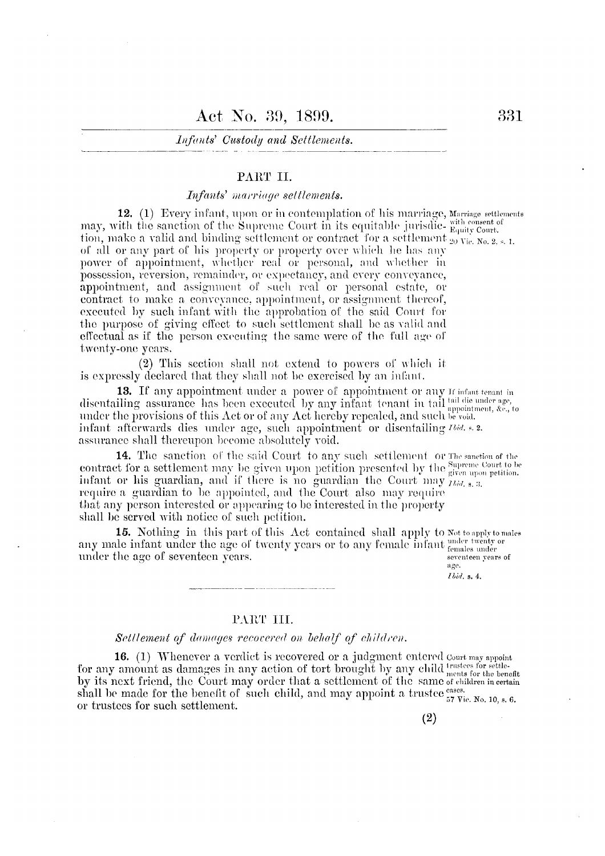#### Infants' Custody and Settlements.

#### PART II.

## Infants' marriage settlements.

12. (1) Every infant, upon or in contemplation of his marriage, Marriage settlements may, with the sanction of the Supreme Court in its equitable jurisdic-  $_{\text{Equity Court}}^{\text{with consent of}}$ tion, make a valid and binding settlement or contract for a settlement  $\frac{1}{20}$  Vie, No. 2, s, 1. of all or any part of his property or property over which he has any power of appointment, whether real or personal, and whether in possession, reversion, remainder, or expectancy, and every conveyance, appointment, and assignment of such real or personal estate, or contract to make a conveyance, appointment, or assignment thereof, executed by such infant with the approbation of the said Court for the purpose of giving effect to such settlement shall be as valid and effectual as if the person executing the same were of the full age of twenty-one years.

(2) This section shall not extend to powers of which it is expressly declared that they shall not be exercised by an infant.

13. If any appointment under a power of appointment or any If infant tenant in disentailing assurance has been executed by any infant tenant in tail tail die under age, under the provisions of this Act or of any Act hereby repealed, and such be void. infant afterwards dies under age, such appointment or disentailing *Ibid.* s. 2. assurance shall thereupon become absolutely void.

14. The sanction of the said Court to any such settlement or The sanction of the contract for a settlement may be given upon petition presented by the supreme Court to be infant or his guardian, and if there is no guardian the Court may  $\lim_{t \to a} s_{i,3}$ require a guardian to be appointed, and the Court also may require that any person interested or appearing to be interested in the property shall be served with notice of such petition.

15. Nothing in this part of this Act contained shall apply to Not to apply to males any male infant under the age of twenty years or to any female infant remains under under the age of seventeen years. seventeen years of

age. Ibid. s. 4.

### PART III.

#### Settlement of damages recovered on behalf of children.

**16.** (1) Whenever a verdict is recovered or a judgment entered court may appoint for any amount as damages in any action of tort brought by any child tents for the benefit by its next friend, the Court may order that a settlement of the same of children in certain by its next friend, the Court may order that a secondary of the state state shall be made for the benefit of such child, and may appoint a trustee  $\frac{\text{cases}}{57 \text{ Vie. No. 10, s. 6}}$ . or trustees for such settlement.

 $(2)$